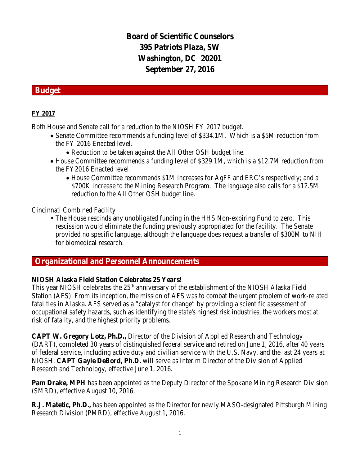# **Board of Scientific Counselors 395 Patriots Plaza, SW Washington, DC 20201 September 27, 2016**

### **Budget**

### **FY 2017**

Both House and Senate call for a reduction to the NIOSH FY 2017 budget.

- Senate Committee recommends a funding level of \$334.1M. Which is a \$5M reduction from the FY 2016 Enacted level.
	- Reduction to be taken against the All Other OSH budget line.
- House Committee recommends a funding level of \$329.1M, which is a \$12.7M reduction from the FY2016 Enacted level.
	- House Committee recommends \$1M increases for AgFF and ERC's respectively; and a \$700K increase to the Mining Research Program. The language also calls for a \$12.5M reduction to the All Other OSH budget line.

Cincinnati Combined Facility

• The House rescinds any unobligated funding in the HHS Non-expiring Fund to zero. This rescission would eliminate the funding previously appropriated for the facility. The Senate provided no specific language, although the language does request a transfer of \$300M to NIH for biomedical research.

### **Organizational and Personnel Announcements**

#### **NIOSH Alaska Field Station Celebrates 25 Years!**

This year NIOSH celebrates the 25<sup>th</sup> anniversary of the establishment of the NIOSH Alaska Field Station (AFS). From its inception, the mission of AFS was to combat the urgent problem of work-related fatalities in Alaska. AFS served as a "catalyst for change" by providing a scientific assessment of occupational safety hazards, such as identifying the state's highest risk industries, the workers most at risk of fatality, and the highest priority problems.

**CAPT W. Gregory Lotz, Ph.D.,** Director of the Division of Applied Research and Technology (DART), completed 30 years of distinguished federal service and retired on June 1, 2016, after 40 years of federal service, including active duty and civilian service with the U.S. Navy, and the last 24 years at NIOSH. **CAPT Gayle DeBord, Ph.D.** will serve as Interim Director of the Division of Applied Research and Technology, effective June 1, 2016.

**Pam Drake, MPH** has been appointed as the Deputy Director of the Spokane Mining Research Division (SMRD), effective August 10, 2016.

**R.J. Matetic, Ph.D.,** has been appointed as the Director for newly MASO-designated Pittsburgh Mining Research Division (PMRD), effective August 1, 2016.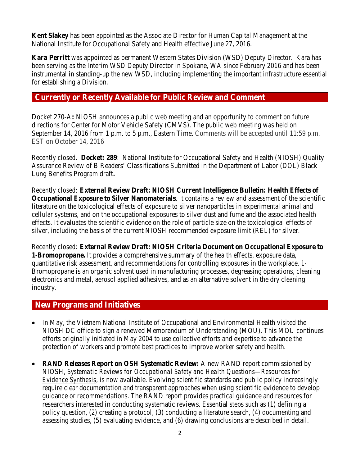**Kent Slakey** has been appointed as the Associate Director for Human Capital Management at the National Institute for Occupational Safety and Health effective June 27, 2016.

**Kara Perritt** was appointed as permanent Western States Division (WSD) Deputy Director. Kara has been serving as the Interim WSD Deputy Director in Spokane, WA since February 2016 and has been instrumental in standing-up the new WSD, including implementing the important infrastructure essential for establishing a Division.

### **Currently or Recently Available for Public Review and Comment**

Docket 270-A**:** NIOSH announces a public web meeting and an opportunity to comment on future directions for Center for Motor Vehicle Safety (CMVS). The public web meeting was held on September 14, 2016 from 1 p.m. to 5 p.m., Eastern Time. Comments will be accepted until 11:59 p.m. EST on October 14, 2016

*Recently closed.* **Docket: 289**:National Institute for Occupational Safety and Health (NIOSH) Quality Assurance Review of B Readers' Classifications Submitted in the Department of Labor (DOL) Black Lung Benefits Program draft**.**

*Recently closed:* **[External Review Draft: NIOSH Current Intelligence Bulletin: Health Effects of](http://www.cdc.gov/niosh/docket/review/docket260a/default.html)  [Occupational Exposure to Silver Nanomaterials](http://www.cdc.gov/niosh/docket/review/docket260a/default.html)**. It contains a review and assessment of the scientific literature on the toxicological effects of exposure to silver nanoparticles in experimental animal and cellular systems, and on the occupational exposures to silver dust and fume and the associated health effects. It evaluates the scientific evidence on the role of particle size on the toxicological effects of silver, including the basis of the current NIOSH recommended exposure limit (REL) for silver.

*Recently closed:* **[External Review Draft: NIOSH Criteria Document on Occupational Exposure to](http://www.cdc.gov/niosh/docket/review/docket057a/default.html)  [1-Bromopropane.](http://www.cdc.gov/niosh/docket/review/docket057a/default.html)** It provides a comprehensive summary of the health effects, exposure data, quantitative risk assessment, and recommendations for controlling exposures in the workplace. 1- Bromopropane is an organic solvent used in manufacturing processes, degreasing operations, cleaning electronics and metal, aerosol applied adhesives, and as an alternative solvent in the dry cleaning industry.

### **New Programs and Initiatives**

- In May, the Vietnam National Institute of Occupational and Environmental Health visited the NIOSH DC office to sign a renewed Memorandum of Understanding (MOU). This MOU continues efforts originally initiated in May 2004 to use collective efforts and expertise to advance the protection of workers and promote best practices to improve worker safety and health.
- **RAND Releases Report on OSH Systematic Review:** A new RAND report commissioned by NIOSH, *[Systematic Reviews for Occupational Safety and Health Questions—Resources for](http://www.rand.org/pubs/research_reports/RR1463.html)  [Evidence Synthesis](http://www.rand.org/pubs/research_reports/RR1463.html)*, is now available. Evolving scientific standards and public policy increasingly require clear documentation and transparent approaches when using scientific evidence to develop guidance or recommendations. The RAND report provides practical guidance and resources for researchers interested in conducting systematic reviews. Essential steps such as (1) defining a policy question, (2) creating a protocol, (3) conducting a literature search, (4) documenting and assessing studies, (5) evaluating evidence, and (6) drawing conclusions are described in detail.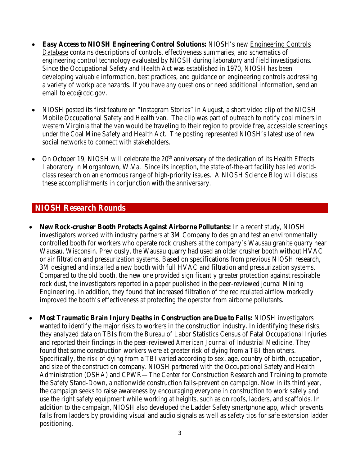- **Easy Access to NIOSH Engineering Control Solutions:** NIOSH's new [Engineering Controls](https://wwwn.cdc.gov/niosh-ecd/)  [Database](https://wwwn.cdc.gov/niosh-ecd/) contains descriptions of controls, effectiveness summaries, and schematics of engineering control technology evaluated by NIOSH during laboratory and field investigations. Since the Occupational Safety and Health Act was established in 1970, NIOSH has been developing valuable information, best practices, and guidance on engineering controls addressing a variety of workplace hazards. If you have any questions or need additional information, send an email to [ecd@cdc.gov.](mailto:ecd@cdc.gov)
- NIOSH posted its first feature on "Instagram Stories" in August, a short video clip of the NIOSH Mobile Occupational Safety and Health van. The clip was part of outreach to notify coal miners in western Virginia that the van would be traveling to their region to provide free, accessible screenings under the Coal Mine Safety and Health Act. The posting represented NIOSH's latest use of new social networks to connect with stakeholders.
- On October 19, NIOSH will celebrate the  $20<sup>th</sup>$  anniversary of the dedication of its Health Effects Laboratory in Morgantown, W.Va. Since its inception, the state-of-the-art facility has led worldclass research on an enormous range of high-priority issues. A NIOSH Science Blog will discuss these accomplishments in conjunction with the anniversary.

### **NIOSH Research Rounds**

- **New Rock-crusher Booth Protects Against Airborne Pollutants:** In a recent study, NIOSH investigators worked with industry partners at 3M Company to design and test an environmentally controlled booth for workers who operate rock crushers at the company's Wausau granite quarry near Wausau, Wisconsin. Previously, the Wausau quarry had used an older crusher booth without HVAC or air filtration and pressurization systems. Based on specifications from previous NIOSH research, 3M designed and installed a new booth with full HVAC and filtration and pressurization systems. Compared to the old booth, the new one provided significantly greater protection against respirable rock dust, the investigators reported in a paper published in the peer-reviewed journal *Mining Engineering*. In addition, they found that increased filtration of the recirculated airflow markedly improved the booth's effectiveness at protecting the operator from airborne pollutants.
- **Most Traumatic Brain Injury Deaths in Construction are Due to Falls:** NIOSH investigators wanted to identify the major risks to workers in the construction industry. In identifying these risks, they analyzed data on TBIs from the Bureau of Labor Statistics Census of Fatal Occupational Injuries and reported their findings in the peer-reviewed *American Journal of Industrial Medicine*. They found that some construction workers were at greater risk of dying from a TBI than others. Specifically, the risk of dying from a TBI varied according to sex, age, country of birth, occupation, and size of the construction company. NIOSH partnered with the Occupational Safety and Health Administration (OSHA) and CPWR—The Center for Construction Research and Training to promote the Safety Stand-Down, a nationwide construction falls-prevention campaign. Now in its third year, the campaign seeks to raise awareness by encouraging everyone in construction to work safely and use the right safety equipment while working at heights, such as on roofs, ladders, and scaffolds. In addition to the campaign, NIOSH also developed the Ladder Safety smartphone app, which prevents falls from ladders by providing visual and audio signals as well as safety tips for safe extension ladder positioning.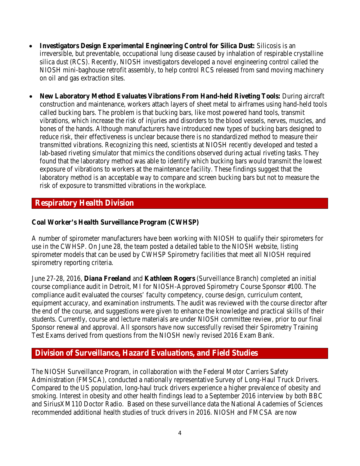- **Investigators Design Experimental Engineering Control for Silica Dust:** Silicosis is an irreversible, but preventable, occupational lung disease caused by inhalation of respirable crystalline silica dust (RCS). Recently, NIOSH investigators developed a novel engineering control called the NIOSH mini-baghouse retrofit assembly, to help control RCS released from sand moving machinery on oil and gas extraction sites.
- **New Laboratory Method Evaluates Vibrations From Hand-held Riveting Tools:** During aircraft construction and maintenance, workers attach layers of sheet metal to airframes using hand-held tools called bucking bars. The problem is that bucking bars, like most powered hand tools, transmit vibrations, which increase the risk of injuries and disorders to the blood vessels, nerves, muscles, and bones of the hands. Although manufacturers have introduced new types of bucking bars designed to reduce risk, their effectiveness is unclear because there is no standardized method to measure their transmitted vibrations. Recognizing this need, scientists at NIOSH recently developed and tested a lab-based riveting simulator that mimics the conditions observed during actual riveting tasks. They found that the laboratory method was able to identify which bucking bars would transmit the lowest exposure of vibrations to workers at the maintenance facility. These findings suggest that the laboratory method is an acceptable way to compare and screen bucking bars but not to measure the risk of exposure to transmitted vibrations in the workplace.

# **Respiratory Health Division**

### **Coal Worker's Health Surveillance Program (CWHSP)**

A number of spirometer manufacturers have been working with NIOSH to qualify their spirometers for use in the CWHSP. On June 28, the team posted a detailed table to the NIOSH website, listing spirometer models that can be used by CWHSP Spirometry facilities that meet all NIOSH required spirometry reporting criteria.

June 27-28, 2016, **Diana Freeland** and **Kathleen Rogers** (Surveillance Branch) completed an initial course compliance audit in Detroit, MI for NIOSH-Approved Spirometry Course Sponsor #100. The compliance audit evaluated the courses' faculty competency, course design, curriculum content, equipment accuracy, and examination instruments. The audit was reviewed with the course director after the end of the course, and suggestions were given to enhance the knowledge and practical skills of their students. Currently, course and lecture materials are under NIOSH committee review, prior to our final Sponsor renewal and approval. All sponsors have now successfully revised their Spirometry Training Test Exams derived from questions from the NIOSH newly revised 2016 Exam Bank.

### **Division of Surveillance, Hazard Evaluations, and Field Studies**

The NIOSH Surveillance Program, in collaboration with the Federal Motor Carriers Safety Administration (FMSCA), conducted a nationally representative Survey of Long-Haul Truck Drivers. Compared to the US population, long-haul truck drivers experience a higher prevalence of obesity and smoking. Interest in obesity and other health findings lead to a September 2016 interview by both BBC and SiriusXM110 Doctor Radio. Based on these surveillance data the National Academies of Sciences recommended additional health studies of truck drivers in 2016. NIOSH and FMCSA are now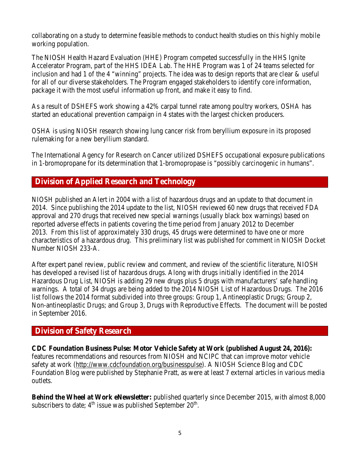collaborating on a study to determine feasible methods to conduct health studies on this highly mobile working population.

The NIOSH Health Hazard Evaluation (HHE) Program competed successfully in the HHS Ignite Accelerator Program, part of the HHS IDEA Lab. The HHE Program was 1 of 24 teams selected for inclusion and had 1 of the 4 "winning" projects. The idea was to design reports that are clear & useful for all of our diverse stakeholders. The Program engaged stakeholders to identify core information, package it with the most useful information up front, and make it easy to find.

As a result of DSHEFS work showing a 42% carpal tunnel rate among poultry workers, OSHA has started an educational prevention campaign in 4 states with the largest chicken producers.

OSHA is using NIOSH research showing lung cancer risk from beryllium exposure in its proposed rulemaking for a new beryllium standard.

The International Agency for Research on Cancer utilized DSHEFS occupational exposure publications in 1-bromopropane for its determination that 1-bromopropase is "possibly carcinogenic in humans".

# **Division of Applied Research and Technology**

NIOSH published an Alert in 2004 with a list of hazardous drugs and an update to that document in 2014. Since publishing the 2014 update to the list, NIOSH reviewed 60 new drugs that received FDA approval and 270 drugs that received new special warnings (usually black box warnings) based on reported adverse effects in patients covering the time period from January 2012 to December 2013. From this list of approximately 330 drugs, 45 drugs were determined to have one or more characteristics of a hazardous drug. This preliminary list was published for comment in NIOSH Docket Number NIOSH 233-A.

After expert panel review, public review and comment, and review of the scientific literature, NIOSH has developed a revised list of hazardous drugs. Along with drugs initially identified in the 2014 Hazardous Drug List, NIOSH is adding 29 new drugs plus 5 drugs with manufacturers' safe handling warnings. A total of 34 drugs are being added to the 2014 NIOSH List of Hazardous Drugs. The 2016 list follows the 2014 format subdivided into three groups: Group 1, Antineoplastic Drugs; Group 2, Non-antineoplastic Drugs; and Group 3, Drugs with Reproductive Effects. The document will be posted in September 2016.

### **Division of Safety Research**

**CDC Foundation Business Pulse: Motor Vehicle Safety at Work (published August 24, 2016):**  features recommendations and resources from NIOSH and NCIPC that can improve motor vehicle safety at work [\(http://www.cdcfoundation.org/businesspulse\)](http://www.cdcfoundation.org/businesspulse). A NIOSH Science Blog and CDC Foundation Blog were published by Stephanie Pratt, as were at least 7 external articles in various media outlets.

**Behind the Wheel at Work eNewsletter:** published quarterly since December 2015, with almost 8,000 subscribers to date;  $4<sup>th</sup>$  issue was published September  $20<sup>th</sup>$ .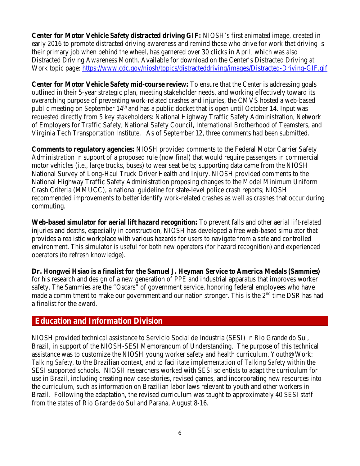**Center for Motor Vehicle Safety distracted driving GIF:** NIOSH's first animated image, created in early 2016 to promote distracted driving awareness and remind those who drive for work that driving is their primary job when behind the wheel, has garnered over 30 clicks in April, which was also Distracted Driving Awareness Month. [Available for download on the Center's Distracted Driving at](http://www.cdc.gov/niosh/topics/distracteddriving/default.html)  [Work topic page:](http://www.cdc.gov/niosh/topics/distracteddriving/default.html) <https://www.cdc.gov/niosh/topics/distracteddriving/images/Distracted-Driving-GIF.gif>

**Center for Motor Vehicle Safety mid-course review:** To ensure that the Center is addressing goals outlined in their 5-year strategic plan, meeting stakeholder needs, and working effectively toward its overarching purpose of preventing work-related crashes and injuries, the CMVS hosted a web-based public meeting on September  $14<sup>th</sup>$  and has a public docket that is open until October 14. Input was requested directly from 5 key stakeholders: National Highway Traffic Safety Administration, Network of Employers for Traffic Safety, National Safety Council, International Brotherhood of Teamsters, and Virginia Tech Transportation Institute. As of September 12, three comments had been submitted.

**Comments to regulatory agencies:** NIOSH provided comments to the Federal Motor Carrier Safety Administration in support of a proposed rule (now final) that would require passengers in commercial motor vehicles (i.e., large trucks, buses) to wear seat belts; supporting data came from the NIOSH National Survey of Long-Haul Truck Driver Health and Injury. NIOSH provided comments to the National Highway Traffic Safety Administration proposing changes to the Model Minimum Uniform Crash Criteria (MMUCC), a national guideline for state-level police crash reports; NIOSH recommended improvements to better identify work-related crashes as well as crashes that occur during commuting.

**Web-based simulator for aerial lift hazard recognition:** To prevent falls and other aerial lift-related injuries and deaths, especially in construction, NIOSH has developed a free web-based simulator that provides a realistic workplace with various hazards for users to navigate from a safe and controlled environment. This simulator is useful for both new operators (for hazard recognition) and experienced operators (to refresh knowledge).

**Dr. Hongwei Hsiao is a finalist for the Samuel J. Heyman Service to America Medals (Sammies)** for his research and design of a new generation of PPE and industrial apparatus that improves worker safety. The Sammies are the "Oscars" of government service, honoring federal employees who have made a commitment to make our government and our nation stronger. This is the  $2<sup>nd</sup>$  time DSR has had a finalist for the award.

### **Education and Information Division**

NIOSH provided technical assistance to Servicio Social de Industria (SESI) in Rio Grande do Sul, Brazil, in support of the NIOSH-SESI Memorandum of Understanding. The purpose of this technical assistance was to customize the NIOSH young worker safety and health curriculum, Youth@Work: *Talking Safety*, to the Brazilian context, and to facilitate implementation of *Talking Safety* within the SESI supported schools. NIOSH researchers worked with SESI scientists to adapt the curriculum for use in Brazil, including creating new case stories, revised games, and incorporating new resources into the curriculum, such as information on Brazilian labor laws relevant to youth and other workers in Brazil. Following the adaptation, the revised curriculum was taught to approximately 40 SESI staff from the states of Rio Grande do Sul and Parana, August 8-16.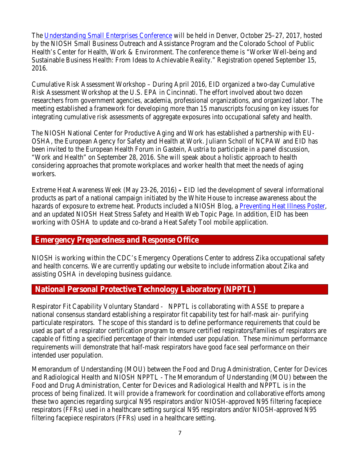The [Understanding Small Enterprises Conference](https://useconference.com/) will be held in Denver, October 25–27, 2017, hosted by the NIOSH Small Business Outreach and Assistance Program and the Colorado School of Public Health's Center for Health, Work & Environment. The conference theme is "Worker Well-being and Sustainable Business Health: From Ideas to Achievable Reality." Registration opened September 15, 2016.

Cumulative Risk Assessment Workshop – During April 2016, EID organized a two-day Cumulative Risk Assessment Workshop at the U.S. EPA in Cincinnati. The effort involved about two dozen researchers from government agencies, academia, professional organizations, and organized labor. The meeting established a framework for developing more than 15 manuscripts focusing on key issues for integrating cumulative risk assessments of aggregate exposures into occupational safety and health.

The NIOSH National Center for Productive Aging and Work has established a partnership with EU-OSHA, the European Agency for Safety and Health at Work. Juliann Scholl of NCPAW and EID has been invited to the European Health Forum in Gastein, Austria to participate in a panel discussion, "Work and Health" on September 28, 2016. She will speak about a holistic approach to health considering approaches that promote workplaces and worker health that meet the needs of aging workers.

Extreme Heat Awareness Week (May 23-26, 2016) **–** EID led the development of several informational products as part of a national campaign initiated by the White House to increase awareness about the hazards of exposure to extreme heat. Products included a NIOSH Blog, a [Preventing Heat Illness Poster,](http://www.cdc.gov/niosh/docs/2016-151/) and an updated NIOSH Heat Stress Safety and Health Web Topic Page. In addition, EID has been working with OSHA to update and co-brand a Heat Safety Tool mobile application.

### **Emergency Preparedness and Response Office**

NIOSH is working within the CDC's Emergency Operations Center to address Zika occupational safety and health concerns. We are currently updating our website to include information about Zika and assisting OSHA in developing business guidance.

### **National Personal Protective Technology Laboratory (NPPTL)**

Respirator Fit Capability Voluntary Standard - NPPTL is collaborating with ASSE to prepare a national consensus standard establishing a respirator fit capability test for half-mask air- purifying particulate respirators. The scope of this standard is to define performance requirements that could be used as part of a respirator certification program to ensure certified respirators/families of respirators are capable of fitting a specified percentage of their intended user population. These minimum performance requirements will demonstrate that half-mask respirators have good face seal performance on their intended user population.

Memorandum of Understanding (MOU) between the Food and Drug Administration, Center for Devices and Radiological Health and NIOSH NPPTL - The Memorandum of Understanding (MOU) between the Food and Drug Administration, Center for Devices and Radiological Health and NPPTL is in the process of being finalized. It will provide a framework for coordination and collaborative efforts among these two agencies regarding surgical N95 respirators and/or NIOSH-approved N95 filtering facepiece respirators (FFRs) used in a healthcare setting surgical N95 respirators and/or NIOSH-approved N95 filtering facepiece respirators (FFRs) used in a healthcare setting.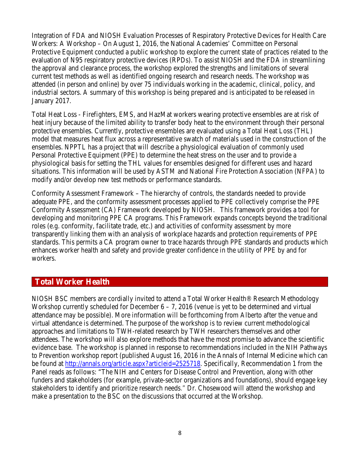Integration of FDA and NIOSH Evaluation Processes of Respiratory Protective Devices for Health Care Workers: A Workshop – On August 1, 2016, the National Academies' Committee on Personal Protective Equipment conducted a public workshop to explore the current state of practices related to the evaluation of N95 respiratory protective devices (RPDs). To assist NIOSH and the FDA in streamlining the approval and clearance process, the workshop explored the strengths and limitations of several current test methods as well as identified ongoing research and research needs. The workshop was attended (in person and online) by over 75 individuals working in the academic, clinical, policy, and industrial sectors. A summary of this workshop is being prepared and is anticipated to be released in January 2017.

Total Heat Loss - Firefighters, EMS, and HazMat workers wearing protective ensembles are at risk of heat injury because of the limited ability to transfer body heat to the environment through their personal protective ensembles. Currently, protective ensembles are evaluated using a Total Heat Loss (THL) model that measures heat flux across a representative swatch of materials used in the construction of the ensembles. NPPTL has a project that will describe a physiological evaluation of commonly used Personal Protective Equipment (PPE) to determine the heat stress on the user and to provide a physiological basis for setting the THL values for ensembles designed for different uses and hazard situations. This information will be used by ASTM and National Fire Protection Association (NFPA) to modify and/or develop new test methods or performance standards.

Conformity Assessment Framework – The hierarchy of controls, the standards needed to provide adequate PPE, and the conformity assessment processes applied to PPE collectively comprise the PPE Conformity Assessment (CA) Framework developed by NIOSH. This framework provides a tool for developing and monitoring PPE CA programs. This Framework expands concepts beyond the traditional roles (e.g. conformity, facilitate trade, etc.) and activities of conformity assessment by more transparently linking them with an analysis of workplace hazards and protection requirements of PPE standards. This permits a CA program owner to trace hazards through PPE standards and products which enhances worker health and safety and provide greater confidence in the utility of PPE by and for workers.

### **Total Worker Health**

NIOSH BSC members are cordially invited to attend a Total Worker Health® Research Methodology Workshop currently scheduled for December  $6 - 7$ , 2016 (venue is yet to be determined and virtual attendance may be possible). More information will be forthcoming from Alberto after the venue and virtual attendance is determined. The purpose of the workshop is to review current methodological approaches and limitations to TWH-related research by TWH researchers themselves and other attendees. The workshop will also explore methods that have the most promise to advance the scientific evidence base. The workshop is planned in response to recommendations included in the NIH Pathways to Prevention workshop report (published August 16, 2016 in the Annals of Internal Medicine which can be found at [http://annals.org/article.aspx?articleid=2525718.](http://annals.org/article.aspx?articleid=2525718) Specifically, Recommendation 1 from the Panel reads as follows: "The NIH and Centers for Disease Control and Prevention, along with other funders and stakeholders (for example, private-sector organizations and foundations), should engage key stakeholders to identify and prioritize research needs." Dr. Chosewood will attend the workshop and make a presentation to the BSC on the discussions that occurred at the Workshop.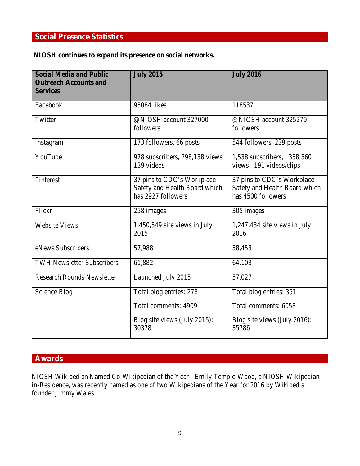# **Social Presence Statistics**

### **NIOSH continues to expand its presence on social networks***.*

| <b>Social Media and Public</b><br><b>Outreach Accounts and</b><br><b>Services</b> | <b>July 2015</b>                                                                  | <b>July 2016</b>                                                                  |
|-----------------------------------------------------------------------------------|-----------------------------------------------------------------------------------|-----------------------------------------------------------------------------------|
| Facebook                                                                          | 95084 likes                                                                       | 118537                                                                            |
| Twitter                                                                           | @NIOSH account 327000<br>followers                                                | @NIOSH account 325279<br>followers                                                |
| Instagram                                                                         | 173 followers, 66 posts                                                           | 544 followers, 239 posts                                                          |
| YouTube                                                                           | 978 subscribers, 298,138 views<br>139 videos                                      | 1,538 subscribers, 358,360<br>views 191 videos/clips                              |
| Pinterest                                                                         | 37 pins to CDC's Workplace<br>Safety and Health Board which<br>has 2927 followers | 37 pins to CDC's Workplace<br>Safety and Health Board which<br>has 4500 followers |
| Flickr                                                                            | 258 images                                                                        | 305 images                                                                        |
| <b>Website Views</b>                                                              | 1,450,549 site views in July<br>2015                                              | 1,247,434 site views in July<br>2016                                              |
| eNews Subscribers                                                                 | 57,988                                                                            | 58,453                                                                            |
| <b>TWH Newsletter Subscribers</b>                                                 | 61,882                                                                            | 64,103                                                                            |
| <b>Research Rounds Newsletter</b>                                                 | Launched July 2015                                                                | 57,027                                                                            |
| Science Blog                                                                      | Total blog entries: 278                                                           | Total blog entries: 351                                                           |
|                                                                                   | Total comments: 4909                                                              | Total comments: 6058                                                              |
|                                                                                   | Blog site views (July 2015):<br>30378                                             | Blog site views (July 2016):<br>35786                                             |

# **Awards**

NIOSH Wikipedian Named Co-Wikipedian of the Year - Emily Temple-Wood, a NIOSH Wikipedianin-Residence, was recently named as one of two Wikipedians of the Year for 2016 by Wikipedia founder Jimmy Wales.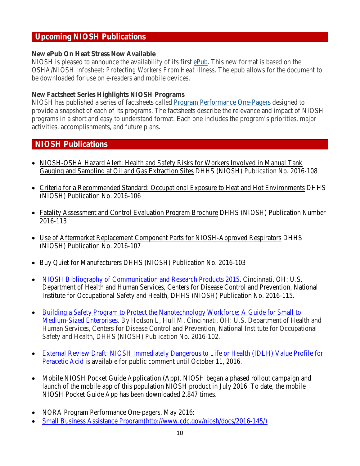### **Upcoming NIOSH Publications**

#### **New ePub On Heat Stress Now Available**

NIOSH is pleased to announce the availability of its first [ePub.](http://www.cdc.gov/niosh/docs/2011-174/default.html) This new format is based on the OSHA/NIOSH Infosheet: *Protecting Workers From Heat Illness*. The epub allows for the document to be downloaded for use on e-readers and mobile devices.

#### **New Factsheet Series Highlights NIOSH Programs**

NIOSH has published a series of factsheets called [Program Performance One-Pagers](http://www.cdc.gov/niosh/docs/ppop/default.html) designed to provide a snapshot of each of its programs. The factsheets describe the relevance and impact of NIOSH programs in a short and easy to understand format. Each one includes the program's priorities, major activities, accomplishments, and future plans.

# **NIOSH Publications**

- [NIOSH-OSHA Hazard Alert: Health and Safety Risks for Workers Involved in Manual Tank](http://www.cdc.gov/niosh/docs/2016-108/default.html)  [Gauging and Sampling at Oil and Gas Extraction Sites](http://www.cdc.gov/niosh/docs/2016-108/default.html) DHHS (NIOSH) Publication No. 2016-108
- [Criteria for a Recommended Standard: Occupational Exposure to Heat and Hot Environments](http://www.cdc.gov/niosh/docs/2016-106/default.html) DHHS (NIOSH) Publication No. 2016-106
- [Fatality Assessment and Control Evaluation Program Brochure](http://www.cdc.gov/niosh/docs/2016-113/default.html) DHHS (NIOSH) Publication Number 2016-113
- [Use of Aftermarket Replacement Component Parts for NIOSH-Approved Respirators](http://www.cdc.gov/niosh/docs/2016-107/default.html) DHHS (NIOSH) Publication No. 2016-107
- [Buy Quiet for Manufacturers](http://www.cdc.gov/niosh/docs/video/2016-103/default.html) DHHS (NIOSH) Publication No. 2016-103
- [NIOSH Bibliography of Communication and Research Products 2015.](http://www.cdc.gov/niosh/docs/2016-115/) Cincinnati, OH: U.S. Department of Health and Human Services, Centers for Disease Control and Prevention, National Institute for Occupational Safety and Health, DHHS (NIOSH) Publication No. 2016-115.
- [Building a Safety Program to Protect the Nanotechnology Workforce: A Guide for Small to](http://www.cdc.gov/niosh/docs/2016-102/pdfs/2016-102.pdf)  [Medium-Sized Enterprises.](http://www.cdc.gov/niosh/docs/2016-102/pdfs/2016-102.pdf) By Hodson L, Hull M. Cincinnati, OH: U.S. Department of Health and Human Services, Centers for Disease Control and Prevention, National Institute for Occupational Safety and Health, DHHS (NIOSH) Publication No. 2016-102.
- [External Review Draft: NIOSH Immediately Dangerous to Life or Health \(IDLH\) Value Profile for](https://www.cdc.gov/niosh/docket/review/docket156b/default.html)  [Peracetic Acid](https://www.cdc.gov/niosh/docket/review/docket156b/default.html) is available for public comment until October 11, 2016.
- Mobile NIOSH Pocket Guide Application (App). NIOSH began a phased rollout campaign and launch of the mobile app of this population NIOSH product in July 2016. To date, the mobile NIOSH Pocket Guide App has been downloaded 2,847 times.
- NORA Program Performance One-pagers, May 2016:
- [Small Business Assistance Program\(http://www.cdc.gov/niosh/docs/2016-145/\)](http://www.cdc.gov/niosh/docs/2016-145/)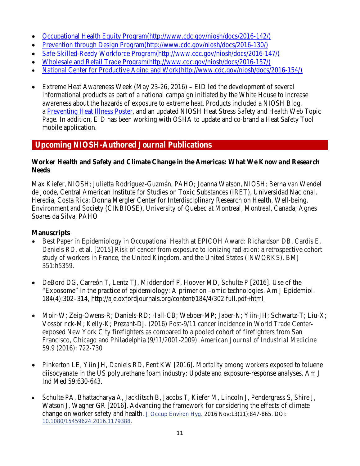- [Occupational Health Equity Program\(http://www.cdc.gov/niosh/docs/2016-142/\)](http://www.cdc.gov/niosh/docs/2016-142/)
- [Prevention through Design Program\(http://www.cdc.gov/niosh/docs/2016-130/\)](http://www.cdc.gov/niosh/docs/2016-130/)
- [Safe-Skilled-Ready Workforce Program\(http://www.cdc.gov/niosh/docs/2016-147/\)](http://www.cdc.gov/niosh/docs/2016-147/)
- [Wholesale and Retail Trade Program\(http://www.cdc.gov/niosh/docs/2016-157/\)](http://www.cdc.gov/niosh/docs/2016-157/)
- [National Center for Productive Aging and Work\(http://www.cdc.gov/niosh/docs/2016-154/\)](http://www.cdc.gov/niosh/docs/2016-154/)
- Extreme Heat Awareness Week (May 23-26, 2016) **–** EID led the development of several informational products as part of a national campaign initiated by the White House to increase awareness about the hazards of exposure to extreme heat. Products included a NIOSH Blog, a [Preventing Heat Illness Poster,](http://www.cdc.gov/niosh/docs/2016-151/) and an updated NIOSH Heat Stress Safety and Health Web Topic Page. In addition, EID has been working with OSHA to update and co-brand a Heat Safety Tool mobile application.

# **Upcoming NIOSH-Authored Journal Publications**

#### **Worker Health and Safety and Climate Change in the Americas: What We Know and Research Needs**

Max Kiefer, NIOSH; Julietta Rodríguez-Guzmán, PAHO; Joanna Watson, NIOSH; Berna van Wendel de Joode, Central American Institute for Studies on Toxic Substances (IRET), Universidad Nacional, Heredia, Costa Rica; Donna Mergler Center for Interdisciplinary Research on Health, Well-being, Environment and Society (CINBIOSE), University of Quebec at Montreal, Montreal, Canada; Agnes Soares da Silva, PAHO

#### **Manuscripts**

- Best Paper in Epidemiology in Occupational Health at EPICOH Award: Richardson DB, Cardis E, Daniels RD, et al. [2015] Risk of cancer from exposure to ionizing radiation: a retrospective cohort study of workers in France, the United Kingdom, and the United States (INWORKS). BMJ 351:h5359.
- DeBord DG, Carreón T, Lentz TJ, Middendorf P, Hoover MD, Schulte P [2016]. Use of the "Exposome" in the practice of epidemiology: A primer on –omic technologies. Am J Epidemiol. 184(4):302–314,<http://aje.oxfordjournals.org/content/184/4/302.full.pdf+html>
- Moir-W; Zeig-Owens-R; Daniels-RD; Hall-CB; Webber-MP; Jaber-N; Yiin-JH; Schwartz-T; Liu-X; Vossbrinck-M; Kelly-K; Prezant-DJ. (2016) Post‐9/11 cancer incidence in World Trade Center‐ exposed New York City firefighters as compared to a pooled cohort of firefighters from San Francisco, Chicago and Philadelphia (9/11/2001‐2009). *American Journal of Industrial Medicine* 59.9 (2016): 722-730
- Pinkerton LE, Yiin JH, Daniels RD, Fent KW [2016]. Mortality among workers exposed to toluene diisocyanate in the US polyurethane foam industry: Update and exposure-response analyses. Am J Ind Med 59:630-643.
- Schulte PA, Bhattacharya A, Jacklitsch B, Jacobs T, Kiefer M, Lincoln J, Pendergrass S, Shire J, Watson J, Wagner GR [2016]. Advancing the framework for considering the effects of climate change on worker safety and health. [J Occup Environ Hyg.](http://www.ncbi.nlm.nih.gov/pubmed/27115294) 2016 Nov;13(11):847-865. DOI: [10.1080/15459624.2016.1179388.](http://dx.doi.org/10.1080/15459624.2016.1179388)